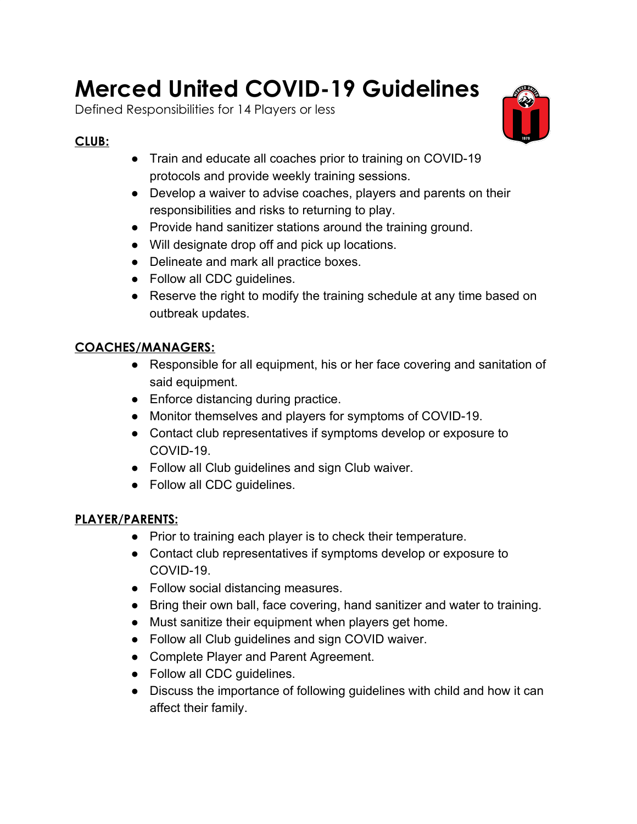# **Merced United COVID-19 Guidelines**

Defined Responsibilities for 14 Players or less

## **CLUB:**

- Train and educate all coaches prior to training on COVID-19 protocols and provide weekly training sessions.
- Develop a waiver to advise coaches, players and parents on their responsibilities and risks to returning to play.
- Provide hand sanitizer stations around the training ground.
- Will designate drop off and pick up locations.
- Delineate and mark all practice boxes.
- Follow all CDC guidelines.
- Reserve the right to modify the training schedule at any time based on outbreak updates.

## **COACHES/MANAGERS:**

- Responsible for all equipment, his or her face covering and sanitation of said equipment.
- Enforce distancing during practice.
- Monitor themselves and players for symptoms of COVID-19.
- Contact club representatives if symptoms develop or exposure to COVID-19.
- Follow all Club guidelines and sign Club waiver.
- Follow all CDC guidelines.

## **PLAYER/PARENTS:**

- Prior to training each player is to check their temperature.
- Contact club representatives if symptoms develop or exposure to COVID-19.
- Follow social distancing measures.
- Bring their own ball, face covering, hand sanitizer and water to training.
- Must sanitize their equipment when players get home.
- Follow all Club guidelines and sign COVID waiver.
- Complete Player and Parent Agreement.
- Follow all CDC guidelines.
- Discuss the importance of following guidelines with child and how it can affect their family.

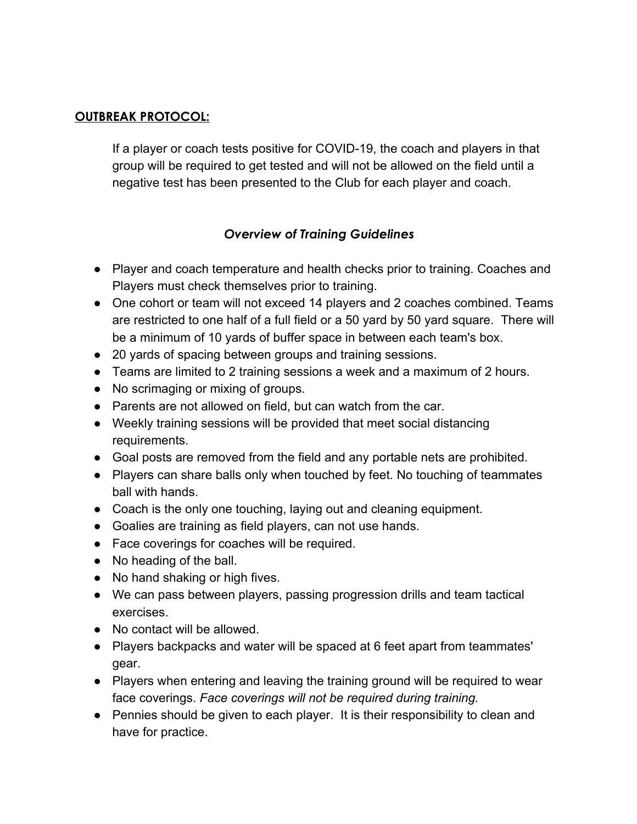#### **OUTBREAK PROTOCOL:**

If a player or coach tests positive for COVID-19, the coach and players in that group will be required to get tested and will not be allowed on the field until a negative test has been presented to the Club for each player and coach.

#### *Overview of Training Guidelines*

- Player and coach temperature and health checks prior to training. Coaches and Players must check themselves prior to training.
- One cohort or team will not exceed 14 players and 2 coaches combined. Teams are restricted to one half of a full field or a 50 yard by 50 yard square. There will be a minimum of 10 yards of buffer space in between each team's box.
- 20 yards of spacing between groups and training sessions.
- Teams are limited to 2 training sessions a week and a maximum of 2 hours.
- No scrimaging or mixing of groups.
- Parents are not allowed on field, but can watch from the car.
- Weekly training sessions will be provided that meet social distancing requirements.
- Goal posts are removed from the field and any portable nets are prohibited.
- Players can share balls only when touched by feet. No touching of teammates ball with hands.
- Coach is the only one touching, laying out and cleaning equipment.
- Goalies are training as field players, can not use hands.
- Face coverings for coaches will be required.
- No heading of the ball.
- No hand shaking or high fives.
- We can pass between players, passing progression drills and team tactical exercises.
- No contact will be allowed.
- Players backpacks and water will be spaced at 6 feet apart from teammates' gear.
- Players when entering and leaving the training ground will be required to wear face coverings. *Face coverings will not be required during training.*
- Pennies should be given to each player. It is their responsibility to clean and have for practice.